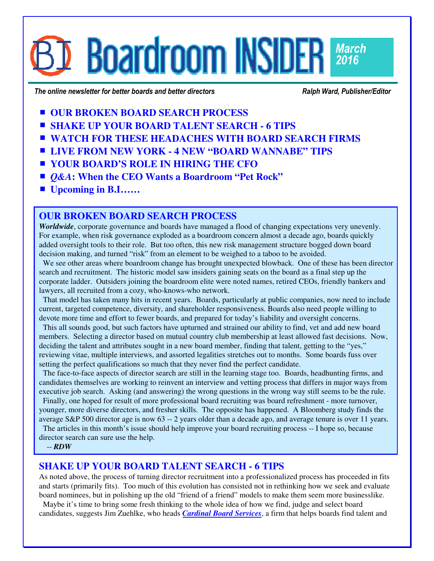## **Boardroom INSIDERI** *March 2016*

The online newsletter for better boards and better directors **Ralph Ward, Publisher/Editor** *Ralph Ward, Publisher/Editor* 

- **UR BROKEN BOARD SEARCH PROCESS**
- **SHAKE UP YOUR BOARD TALENT SEARCH 6 TIPS**
- **WATCH FOR THESE HEADACHES WITH BOARD SEARCH FIRMS**
- **LIVE FROM NEW YORK 4 NEW "BOARD WANNABE" TIPS**
- **YOUR BOARD'S ROLE IN HIRING THE CFO**
- *Q&A***:** When the CEO Wants a Boardroom "Pet Rock"
- **Upcoming in B.I……**

## **OUR BROKEN BOARD SEARCH PROCESS**

*Worldwide*, corporate governance and boards have managed a flood of changing expectations very unevenly. For example, when risk governance exploded as a boardroom concern almost a decade ago, boards quickly added oversight tools to their role. But too often, this new risk management structure bogged down board decision making, and turned "risk" from an element to be weighed to a taboo to be avoided.

We see other areas where boardroom change has brought unexpected blowback. One of these has been director search and recruitment. The historic model saw insiders gaining seats on the board as a final step up the corporate ladder. Outsiders joining the boardroom elite were noted names, retired CEOs, friendly bankers and lawyers, all recruited from a cozy, who-knows-who network.

 That model has taken many hits in recent years. Boards, particularly at public companies, now need to include current, targeted competence, diversity, and shareholder responsiveness. Boards also need people willing to devote more time and effort to fewer boards, and prepared for today's liability and oversight concerns.

 This all sounds good, but such factors have upturned and strained our ability to find, vet and add new board members. Selecting a director based on mutual country club membership at least allowed fast decisions. Now, deciding the talent and attributes sought in a new board member, finding that talent, getting to the "yes," reviewing vitae, multiple interviews, and assorted legalities stretches out to months. Some boards fuss over setting the perfect qualifications so much that they never find the perfect candidate.

 The face-to-face aspects of director search are still in the learning stage too. Boards, headhunting firms, and candidates themselves are working to reinvent an interview and vetting process that differs in major ways from executive job search. Asking (and answering) the wrong questions in the wrong way still seems to be the rule.

 Finally, one hoped for result of more professional board recruiting was board refreshment - more turnover, younger, more diverse directors, and fresher skills. The opposite has happened. A Bloomberg study finds the average S&P 500 director age is now 63 -- 2 years older than a decade ago, and average tenure is over 11 years.

 The articles in this month's issue should help improve your board recruiting process -- I hope so, because director search can sure use the help.

-- *RDW*

## **SHAKE UP YOUR BOARD TALENT SEARCH - 6 TIPS**

As noted above, the process of turning director recruitment into a professionalized process has proceeded in fits and starts (primarily fits). Too much of this evolution has consisted not in rethinking how we seek and evaluate board nominees, but in polishing up the old "friend of a friend" models to make them seem more businesslike.

 Maybe it's time to bring some fresh thinking to the whole idea of how we find, judge and select board candidates, suggests Jim Zuehlke, who heads *[Cardinal Board Services](http://cardinalboardservices.com/)*, a firm that helps boards find talent and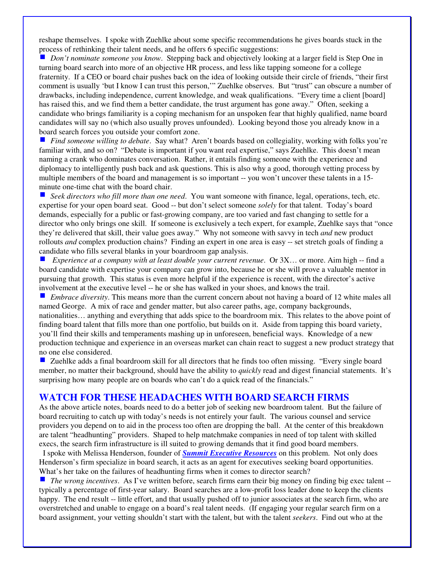reshape themselves. I spoke with Zuehlke about some specific recommendations he gives boards stuck in the process of rethinking their talent needs, and he offers 6 specific suggestions:

 *Don't nominate someone you know*. Stepping back and objectively looking at a larger field is Step One in turning board search into more of an objective HR process, and less like tapping someone for a college fraternity. If a CEO or board chair pushes back on the idea of looking outside their circle of friends, "their first comment is usually 'but I know I can trust this person,'" Zuehlke observes. But "trust" can obscure a number of drawbacks, including independence, current knowledge, and weak qualifications. "Every time a client [board] has raised this, and we find them a better candidate, the trust argument has gone away." Often, seeking a candidate who brings familiarity is a coping mechanism for an unspoken fear that highly qualified, name board candidates will say no (which also usually proves unfounded). Looking beyond those you already know in a board search forces you outside your comfort zone.

 *Find someone willing to debate*. Say what? Aren't boards based on collegiality, working with folks you're familiar with, and so on? "Debate is important if you want real expertise," says Zuehlke. This doesn't mean naming a crank who dominates conversation. Rather, it entails finding someone with the experience and diplomacy to intelligently push back and ask questions. This is also why a good, thorough vetting process by multiple members of the board and management is so important -- you won't uncover these talents in a 15minute one-time chat with the board chair.

■ *Seek directors who fill more than one need*. You want someone with finance, legal, operations, tech, etc. expertise for your open board seat. Good -- but don't select someone *solely* for that talent. Today's board demands, especially for a public or fast-growing company, are too varied and fast changing to settle for a director who only brings one skill. If someone is exclusively a tech expert, for example, Zuehlke says that "once they're delivered that skill, their value goes away." Why not someone with savvy in tech *and* new product rollouts *and* complex production chains? Finding an expert in one area is easy -- set stretch goals of finding a candidate who fills several blanks in your boardroom gap analysis.

 *Experience at a company with at least double your current revenue*. Or 3X… or more. Aim high -- find a board candidate with expertise your company can grow into, because he or she will prove a valuable mentor in pursuing that growth. This status is even more helpful if the experience is recent, with the director's active involvement at the executive level -- he or she has walked in your shoes, and knows the trail.

 *Embrace diversity*. This means more than the current concern about not having a board of 12 white males all named George. A mix of race and gender matter, but also career paths, age, company backgrounds, nationalities… anything and everything that adds spice to the boardroom mix. This relates to the above point of finding board talent that fills more than one portfolio, but builds on it. Aside from tapping this board variety, you'll find their skills and temperaments mashing up in unforeseen, beneficial ways. Knowledge of a new production technique and experience in an overseas market can chain react to suggest a new product strategy that no one else considered.

■ Zuehlke adds a final boardroom skill for all directors that he finds too often missing. "Every single board member, no matter their background, should have the ability to *quickly* read and digest financial statements. It's surprising how many people are on boards who can't do a quick read of the financials."

#### **WATCH FOR THESE HEADACHES WITH BOARD SEARCH FIRMS**

As the above article notes, boards need to do a better job of seeking new boardroom talent. But the failure of board recruiting to catch up with today's needs is not entirely your fault. The various counsel and service providers you depend on to aid in the process too often are dropping the ball. At the center of this breakdown are talent "headhunting" providers. Shaped to help matchmake companies in need of top talent with skilled execs, the search firm infrastructure is ill suited to growing demands that it find good board members.

 I spoke with Melissa Henderson, founder of *[Summit Executive Resources](http://summitexecutiveresources.com/)* on this problem. Not only does Henderson's firm specialize in board search, it acts as an agent for executives seeking board opportunities. What's her take on the failures of headhunting firms when it comes to director search?

 *The wrong incentives*. As I've written before, search firms earn their big money on finding big exec talent - typically a percentage of first-year salary. Board searches are a low-profit loss leader done to keep the clients happy. The end result -- little effort, and that usually pushed off to junior associates at the search firm, who are overstretched and unable to engage on a board's real talent needs. (If engaging your regular search firm on a board assignment, your vetting shouldn't start with the talent, but with the talent *seekers*. Find out who at the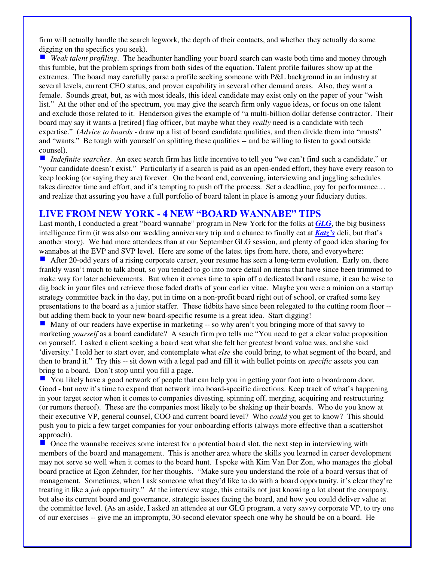firm will actually handle the search legwork, the depth of their contacts, and whether they actually do some digging on the specifics you seek).

■ *Weak talent profiling*. The headhunter handling your board search can waste both time and money through this fumble, but the problem springs from both sides of the equation. Talent profile failures show up at the extremes. The board may carefully parse a profile seeking someone with P&L background in an industry at several levels, current CEO status, and proven capability in several other demand areas. Also, they want a female. Sounds great, but, as with most ideals, this ideal candidate may exist only on the paper of your "wish list." At the other end of the spectrum, you may give the search firm only vague ideas, or focus on one talent and exclude those related to it. Henderson gives the example of "a multi-billion dollar defense contractor. Their board may say it wants a [retired] flag officer, but maybe what they *really* need is a candidate with tech expertise." (*Advice to boards* - draw up a list of board candidate qualities, and then divide them into "musts" and "wants." Be tough with yourself on splitting these qualities -- and be willing to listen to good outside counsel).

 *Indefinite searches*. An exec search firm has little incentive to tell you "we can't find such a candidate," or "your candidate doesn't exist." Particularly if a search is paid as an open-ended effort, they have every reason to keep looking (or saying they are) forever. On the board end, convening, interviewing and juggling schedules takes director time and effort, and it's tempting to push off the process. Set a deadline, pay for performance… and realize that assuring you have a full portfolio of board talent in place is among your fiduciary duties.

## **LIVE FROM NEW YORK - 4 NEW "BOARD WANNABE" TIPS**

Last month, I conducted a great "board wannabe" program in New York for the folks at *[GLG](https://glg.it/)*, the big business intelligence firm (it was also our wedding anniversary trip and a chance to finally eat at *[Katz's](http://katzsdelicatessen.com/)* deli, but that's another story). We had more attendees than at our September GLG session, and plenty of good idea sharing for wannabes at the EVP and SVP level. Here are some of the latest tips from here, there, and everywhere:

After 20-odd years of a rising corporate career, your resume has seen a long-term evolution. Early on, there frankly wasn't much to talk about, so you tended to go into more detail on items that have since been trimmed to make way for later achievements. But when it comes time to spin off a dedicated board resume, it can be wise to dig back in your files and retrieve those faded drafts of your earlier vitae. Maybe you were a minion on a startup strategy committee back in the day, put in time on a non-profit board right out of school, or crafted some key presentations to the board as a junior staffer. These tidbits have since been relegated to the cutting room floor - but adding them back to your new board-specific resume is a great idea. Start digging!

 Many of our readers have expertise in marketing -- so why aren't you bringing more of that savvy to marketing *yourself* as a board candidate? A search firm pro tells me "You need to get a clear value proposition on yourself. I asked a client seeking a board seat what she felt her greatest board value was, and she said 'diversity.' I told her to start over, and contemplate what *else* she could bring, to what segment of the board, and then to brand it." Try this -- sit down with a legal pad and fill it with bullet points on *specific* assets you can bring to a board. Don't stop until you fill a page.

You likely have a good network of people that can help you in getting your foot into a boardroom door. Good - but now it's time to expand that network into board-specific directions. Keep track of what's happening in your target sector when it comes to companies divesting, spinning off, merging, acquiring and restructuring (or rumors thereof). These are the companies most likely to be shaking up their boards. Who do you know at their executive VP, general counsel, COO and current board level? Who *could* you get to know? This should push you to pick a few target companies for your onboarding efforts (always more effective than a scattershot approach).

■ Once the wannabe receives some interest for a potential board slot, the next step in interviewing with members of the board and management. This is another area where the skills you learned in career development may not serve so well when it comes to the board hunt. I spoke with Kim Van Der Zon, who manages the global board practice at Egon Zehnder, for her thoughts. "Make sure you understand the role of a board versus that of management. Sometimes, when I ask someone what they'd like to do with a board opportunity, it's clear they're treating it like a *job* opportunity." At the interview stage, this entails not just knowing a lot about the company, but also its current board and governance, strategic issues facing the board, and how you could deliver value at the committee level. (As an aside, I asked an attendee at our GLG program, a very savvy corporate VP, to try one of our exercises -- give me an impromptu, 30-second elevator speech one why he should be on a board. He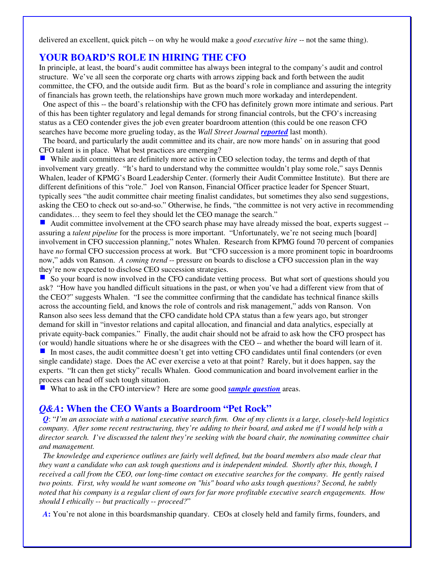delivered an excellent, quick pitch -- on why he would make a *good executive hire* -- not the same thing).

#### **YOUR BOARD'S ROLE IN HIRING THE CFO**

In principle, at least, the board's audit committee has always been integral to the company's audit and control structure. We've all seen the corporate org charts with arrows zipping back and forth between the audit committee, the CFO, and the outside audit firm. But as the board's role in compliance and assuring the integrity of financials has grown teeth, the relationships have grown much more workaday and interdependent.

 One aspect of this -- the board's relationship with the CFO has definitely grown more intimate and serious. Part of this has been tighter regulatory and legal demands for strong financial controls, but the CFO's increasing status as a CEO contender gives the job even greater boardroom attention (this could be one reason CFO searches have become more grueling today, as the *Wall Street Journal [reported](http://www.wsj.com/articles/cfo-searches-drag-on-as-demand-takes-off-1454982989)* last month).

 The board, and particularly the audit committee and its chair, are now more hands' on in assuring that good CFO talent is in place. What best practices are emerging?

■ While audit committees are definitely more active in CEO selection today, the terms and depth of that involvement vary greatly. "It's hard to understand why the committee wouldn't play some role," says Dennis Whalen, leader of KPMG's Board Leadership Center. (formerly their Audit Committee Institute). But there are different definitions of this "role." Joel von Ranson, Financial Officer practice leader for Spencer Stuart, typically sees "the audit committee chair meeting finalist candidates, but sometimes they also send suggestions, asking the CEO to check out so-and-so." Otherwise, he finds, "the committee is not very active in recommending candidates… they seem to feel they should let the CEO manage the search."

 Audit committee involvement at the CFO search phase may have already missed the boat, experts suggest - assuring a *talent pipeline* for the process is more important. "Unfortunately, we're not seeing much [board] involvement in CFO succession planning," notes Whalen. Research from KPMG found 70 percent of companies have *no* formal CFO succession process at work. But "CFO succession is a more prominent topic in boardrooms now," adds von Ranson. *A coming trend* -- pressure on boards to disclose a CFO succession plan in the way they're now expected to disclose CEO succession strategies.

So your board is now involved in the CFO candidate vetting process. But what sort of questions should you ask? "How have you handled difficult situations in the past, or when you've had a different view from that of the CEO?" suggests Whalen. "I see the committee confirming that the candidate has technical finance skills across the accounting field, and knows the role of controls and risk management," adds von Ranson. Von Ranson also sees less demand that the CFO candidate hold CPA status than a few years ago, but stronger demand for skill in "investor relations and capital allocation, and financial and data analytics, especially at private equity-back companies." Finally, the audit chair should not be afraid to ask how the CFO prospect has (or would) handle situations where he or she disagrees with the CEO -- and whether the board will learn of it.

In most cases, the audit committee doesn't get into vetting CFO candidates until final contenders (or even single candidate) stage. Does the AC ever exercise a veto at that point? Rarely, but it does happen, say the experts. "It can then get sticky" recalls Whalen. Good communication and board involvement earlier in the process can head off such tough situation.

■ What to ask in the CFO interview? Here are some good *[sample question](http://yscouts.com/interviews/15-incredible-cfo-interview-questions/)* areas.

#### *Q&A***: When the CEO Wants a Boardroom "Pet Rock"**

*Q*: "*I'm an associate with a national executive search firm. One of my clients is a large, closely-held logistics company. After some recent restructuring, they're adding to their board, and asked me if I would help with a director search. I've discussed the talent they're seeking with the board chair, the nominating committee chair and management.* 

 *The knowledge and experience outlines are fairly well defined, but the board members also made clear that they want a candidate who can ask tough questions and is independent minded. Shortly after this, though, I received a call from the CEO, our long-time contact on executive searches for the company. He gently raised two points. First, why would he want someone on "his" board who asks tough questions? Second, he subtly noted that his company is a regular client of ours for far more profitable executive search engagements. How should I ethically -- but practically -- proceed?*"

 *A***:** You're not alone in this boardsmanship quandary. CEOs at closely held and family firms, founders, and